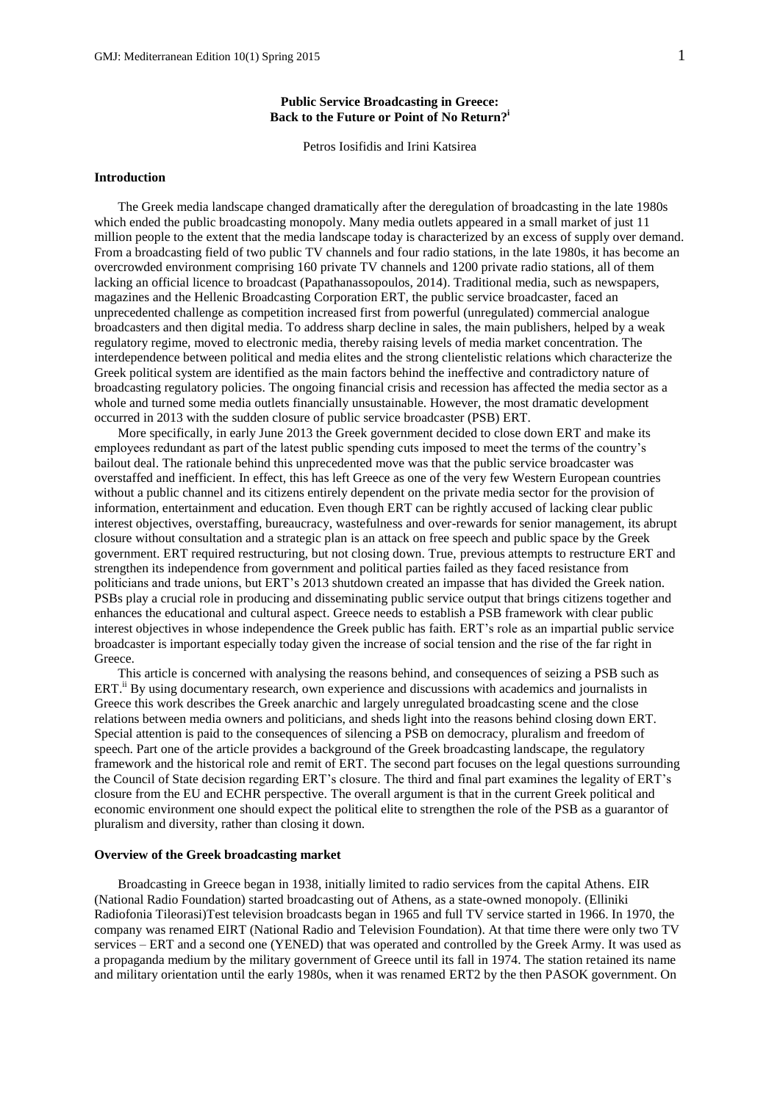# **Public Service Broadcasting in Greece: Back to the Future or Point of No Return?<sup>i</sup>**

Petros Iosifidis and Irini Katsirea

## **Introduction**

The Greek media landscape changed dramatically after the deregulation of broadcasting in the late 1980s which ended the public broadcasting monopoly. Many media outlets appeared in a small market of just 11 million people to the extent that the media landscape today is characterized by an excess of supply over demand. From a broadcasting field of two public TV channels and four radio stations, in the late 1980s, it has become an overcrowded environment comprising 160 private TV channels and 1200 private radio stations, all of them lacking an official licence to broadcast (Papathanassopoulos, 2014). Traditional media, such as newspapers, magazines and the Hellenic Broadcasting Corporation ERT, the public service broadcaster, faced an unprecedented challenge as competition increased first from powerful (unregulated) commercial analogue broadcasters and then digital media. To address sharp decline in sales, the main publishers, helped by a weak regulatory regime, moved to electronic media, thereby raising levels of media market concentration. The interdependence between political and media elites and the strong clientelistic relations which characterize the Greek political system are identified as the main factors behind the ineffective and contradictory nature of broadcasting regulatory policies. The ongoing financial crisis and recession has affected the media sector as a whole and turned some media outlets financially unsustainable. However, the most dramatic development occurred in 2013 with the sudden closure of public service broadcaster (PSB) ERT.

More specifically, in early June 2013 the Greek government decided to close down ERT and make its employees redundant as part of the latest public spending cuts imposed to meet the terms of the country's bailout deal. The rationale behind this unprecedented move was that the public service broadcaster was overstaffed and inefficient. In effect, this has left Greece as one of the very few Western European countries without a public channel and its citizens entirely dependent on the private media sector for the provision of information, entertainment and education. Even though ERT can be rightly accused of lacking clear public interest objectives, overstaffing, bureaucracy, wastefulness and over-rewards for senior management, its abrupt closure without consultation and a strategic plan is an attack on free speech and public space by the Greek government. ERT required restructuring, but not closing down. True, previous attempts to restructure ERT and strengthen its independence from government and political parties failed as they faced resistance from politicians and trade unions, but ERT's 2013 shutdown created an impasse that has divided the Greek nation. PSBs play a crucial role in producing and disseminating public service output that brings citizens together and enhances the educational and cultural aspect. Greece needs to establish a PSB framework with clear public interest objectives in whose independence the Greek public has faith. ERT's role as an impartial public service broadcaster is important especially today given the increase of social tension and the rise of the far right in Greece.

This article is concerned with analysing the reasons behind, and consequences of seizing a PSB such as ERT.<sup>ii</sup> By using documentary research, own experience and discussions with academics and journalists in Greece this work describes the Greek anarchic and largely unregulated broadcasting scene and the close relations between media owners and politicians, and sheds light into the reasons behind closing down ERT. Special attention is paid to the consequences of silencing a PSB on democracy, pluralism and freedom of speech. Part one of the article provides a background of the Greek broadcasting landscape, the regulatory framework and the historical role and remit of ERT. The second part focuses on the legal questions surrounding the Council of State decision regarding ERT's closure. The third and final part examines the legality of ERT's closure from the EU and ECHR perspective. The overall argument is that in the current Greek political and economic environment one should expect the political elite to strengthen the role of the PSB as a guarantor of pluralism and diversity, rather than closing it down.

## **Overview of the Greek broadcasting market**

Broadcasting in Greece began in 1938, initially limited to radio services from the capital Athens. EIR (National Radio Foundation) started broadcasting out of Athens, as a state-owned monopoly. (Elliniki Radiofonia Tileorasi)Test television broadcasts began in 1965 and full TV service started in 1966. In 1970, the company was renamed EIRT (National Radio and Television Foundation). At that time there were only two TV services – ERT and a second one (YENED) that was operated and controlled by the Greek Army. It was used as a propaganda medium by the military government of Greece until its fall in 1974. The station retained its name and military orientation until the early 1980s, when it was renamed ERT2 by the then PASOK government. On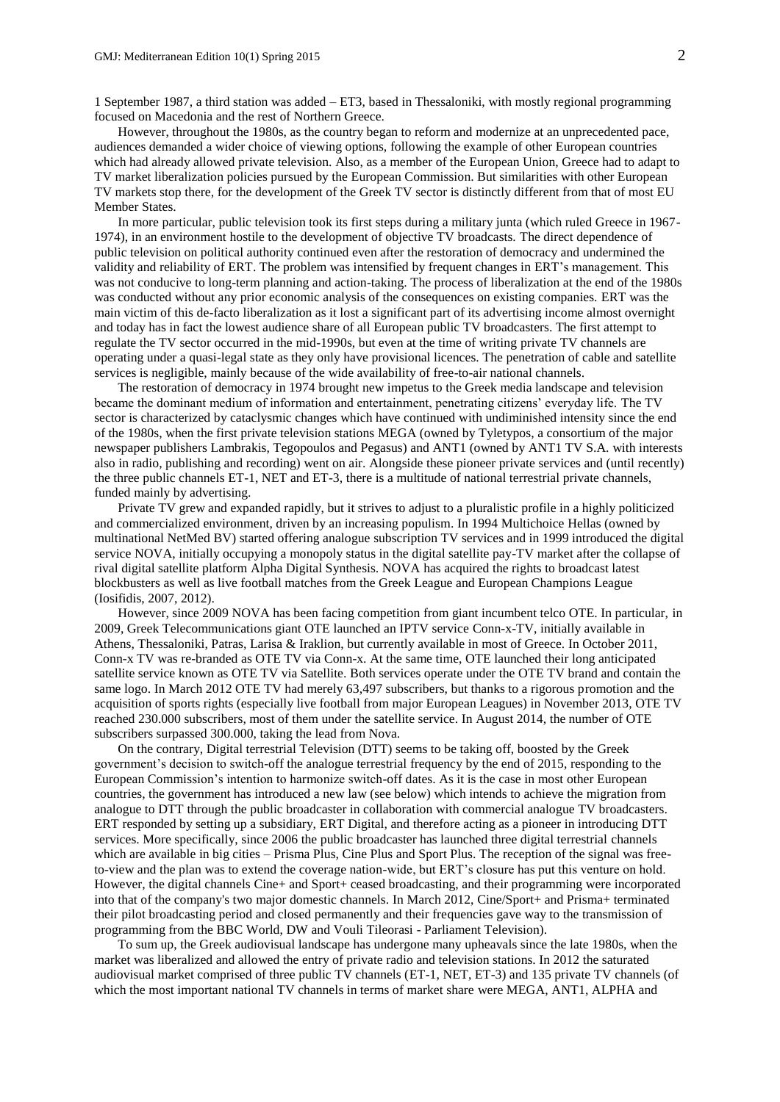1 September 1987, a third station was added – ET3, based in Thessaloniki, with mostly regional programming focused on Macedonia and the rest of Northern Greece.

However, throughout the 1980s, as the country began to reform and modernize at an unprecedented pace, audiences demanded a wider choice of viewing options, following the example of other European countries which had already allowed private television. Also, as a member of the European Union, Greece had to adapt to TV market liberalization policies pursued by the European Commission. But similarities with other European TV markets stop there, for the development of the Greek TV sector is distinctly different from that of most EU Member States.

In more particular, public television took its first steps during a military junta (which ruled Greece in 1967- 1974), in an environment hostile to the development of objective TV broadcasts. The direct dependence of public television on political authority continued even after the restoration of democracy and undermined the validity and reliability of ERT. The problem was intensified by frequent changes in ERT's management. This was not conducive to long-term planning and action-taking. The process of liberalization at the end of the 1980s was conducted without any prior economic analysis of the consequences on existing companies. ERT was the main victim of this de-facto liberalization as it lost a significant part of its advertising income almost overnight and today has in fact the lowest audience share of all European public TV broadcasters. The first attempt to regulate the TV sector occurred in the mid-1990s, but even at the time of writing private TV channels are operating under a quasi-legal state as they only have provisional licences. The penetration of cable and satellite services is negligible, mainly because of the wide availability of free-to-air national channels.

The restoration of democracy in 1974 brought new impetus to the Greek media landscape and television became the dominant medium of information and entertainment, penetrating citizens' everyday life. The TV sector is characterized by cataclysmic changes which have continued with undiminished intensity since the end of the 1980s, when the first private television stations MEGA (owned by Tyletypos, a consortium of the major newspaper publishers Lambrakis, Tegopoulos and Pegasus) and ANT1 (owned by ANT1 TV S.A. with interests also in radio, publishing and recording) went on air. Alongside these pioneer private services and (until recently) the three public channels ET-1, NET and ET-3, there is a multitude of national terrestrial private channels, funded mainly by advertising.

Private TV grew and expanded rapidly, but it strives to adjust to a pluralistic profile in a highly politicized and commercialized environment, driven by an increasing populism. In 1994 Multichoice Hellas (owned by multinational NetMed BV) started offering analogue subscription TV services and in 1999 introduced the digital service NOVA, initially occupying a monopoly status in the digital satellite pay-TV market after the collapse of rival digital satellite platform Alpha Digital Synthesis. NOVA has acquired the rights to broadcast latest blockbusters as well as live football matches from the Greek League and European Champions League (Iosifidis, 2007, 2012).

However, since 2009 NOVA has been facing competition from giant incumbent telco OTE. In particular, in 2009, Greek Telecommunications giant OTE launched an IPTV service Conn-x-TV, initially available in Athens, Thessaloniki, Patras, Larisa & Iraklion, but currently available in most of Greece. In October 2011, Conn-x TV was re-branded as OTE TV via Conn-x. At the same time, OTE launched their long anticipated satellite service known as OTE TV via Satellite. Both services operate under the OTE TV brand and contain the same logo. In March 2012 OTE TV had merely 63,497 subscribers, but thanks to a rigorous promotion and the acquisition of sports rights (especially live football from major European Leagues) in November 2013, OTE TV reached 230.000 subscribers, most of them under the satellite service. In August 2014, the number of OTE subscribers surpassed 300.000, taking the lead from Nova.

On the contrary, Digital terrestrial Television (DTT) seems to be taking off, boosted by the Greek government's decision to switch-off the analogue terrestrial frequency by the end of 2015, responding to the European Commission's intention to harmonize switch-off dates. As it is the case in most other European countries, the government has introduced a new law (see below) which intends to achieve the migration from analogue to DTT through the public broadcaster in collaboration with commercial analogue TV broadcasters. ERT responded by setting up a subsidiary, ERT Digital, and therefore acting as a pioneer in introducing DTT services. More specifically, since 2006 the public broadcaster has launched three digital terrestrial channels which are available in big cities – Prisma Plus, Cine Plus and Sport Plus. The reception of the signal was freeto-view and the plan was to extend the coverage nation-wide, but ERT's closure has put this venture on hold. However, the digital channels Cine+ and Sport+ ceased broadcasting, and their programming were incorporated into that of the company's two major domestic channels. In March 2012, Cine/Sport+ and Prisma+ terminated their pilot broadcasting period and closed permanently and their frequencies gave way to the transmission of programming from the BBC World, DW and Vouli Tileorasi - Parliament Television).

To sum up, the Greek audiovisual landscape has undergone many upheavals since the late 1980s, when the market was liberalized and allowed the entry of private radio and television stations. In 2012 the saturated audiovisual market comprised of three public TV channels (ET-1, NET, ET-3) and 135 private TV channels (of which the most important national TV channels in terms of market share were MEGA, ANT1, ALPHA and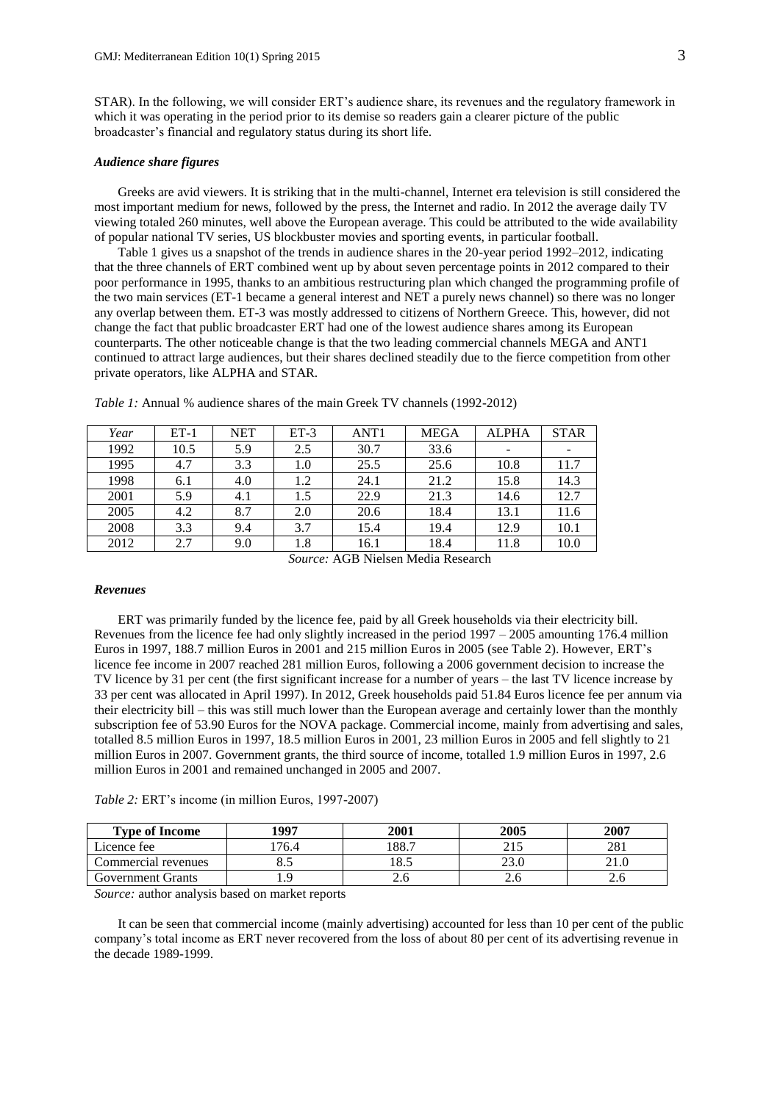STAR). In the following, we will consider ERT's audience share, its revenues and the regulatory framework in which it was operating in the period prior to its demise so readers gain a clearer picture of the public broadcaster's financial and regulatory status during its short life.

## *Audience share figures*

Greeks are avid viewers. It is striking that in the multi-channel, Internet era television is still considered the most important medium for news, followed by the press, the Internet and radio. In 2012 the average daily TV viewing totaled 260 minutes, well above the European average. This could be attributed to the wide availability of popular national TV series, US blockbuster movies and sporting events, in particular football.

Table 1 gives us a snapshot of the trends in audience shares in the 20-year period 1992–2012, indicating that the three channels of ERT combined went up by about seven percentage points in 2012 compared to their poor performance in 1995, thanks to an ambitious restructuring plan which changed the programming profile of the two main services (ET-1 became a general interest and NET a purely news channel) so there was no longer any overlap between them. ET-3 was mostly addressed to citizens of Northern Greece. This, however, did not change the fact that public broadcaster ERT had one of the lowest audience shares among its European counterparts. The other noticeable change is that the two leading commercial channels MEGA and ANT1 continued to attract large audiences, but their shares declined steadily due to the fierce competition from other private operators, like ALPHA and STAR.

| Year | $ET-1$ | <b>NET</b> | $ET-3$  | ANT <sub>1</sub> | <b>MEGA</b> | <b>ALPHA</b> | <b>STAR</b> |
|------|--------|------------|---------|------------------|-------------|--------------|-------------|
| 1992 | 10.5   | 5.9        | 2.5     | 30.7             | 33.6        |              | -           |
| 1995 | 4.7    | 3.3        | $1.0\,$ | 25.5             | 25.6        | 10.8         | 11.7        |
| 1998 | 6.1    | 4.0        | 1.2     | 24.1             | 21.2        | 15.8         | 14.3        |
| 2001 | 5.9    | 4.1        | 1.5     | 22.9             | 21.3        | 14.6         | 12.7        |
| 2005 | 4.2    | 8.7        | 2.0     | 20.6             | 18.4        | 13.1         | 11.6        |
| 2008 | 3.3    | 9.4        | 3.7     | 15.4             | 19.4        | 12.9         | 10.1        |
| 2012 | 2.7    | 9.0        | 1.8     | 16.1             | 18.4        | 11.8         | 10.0        |

*Table 1:* Annual % audience shares of the main Greek TV channels (1992-2012)

*Source:* AGB Nielsen Media Research

#### *Revenues*

ERT was primarily funded by the licence fee, paid by all Greek households via their electricity bill. Revenues from the licence fee had only slightly increased in the period 1997 – 2005 amounting 176.4 million Euros in 1997, 188.7 million Euros in 2001 and 215 million Euros in 2005 (see Table 2). However, ERT's licence fee income in 2007 reached 281 million Euros, following a 2006 government decision to increase the TV licence by 31 per cent (the first significant increase for a number of years – the last TV licence increase by 33 per cent was allocated in April 1997). In 2012, Greek households paid 51.84 Euros licence fee per annum via their electricity bill – this was still much lower than the European average and certainly lower than the monthly subscription fee of 53.90 Euros for the NOVA package. Commercial income, mainly from advertising and sales, totalled 8.5 million Euros in 1997, 18.5 million Euros in 2001, 23 million Euros in 2005 and fell slightly to 21 million Euros in 2007. Government grants, the third source of income, totalled 1.9 million Euros in 1997, 2.6 million Euros in 2001 and remained unchanged in 2005 and 2007.

# *Table 2:* ERT's income (in million Euros, 1997-2007)

| <b>Type of Income</b> | 1007 | 2001 | 2005 | 2007       |
|-----------------------|------|------|------|------------|
| Licence fee           | 76.4 | 88.  |      | າວະ<br>201 |
| Commercial revenues   | ບ…   | 18.5 | ∠J.J | 41.U       |
| Government Grants     |      | ∠.∪  | 2.U  | ∠.∪        |

*Source:* author analysis based on market reports

It can be seen that commercial income (mainly advertising) accounted for less than 10 per cent of the public company's total income as ERT never recovered from the loss of about 80 per cent of its advertising revenue in the decade 1989-1999.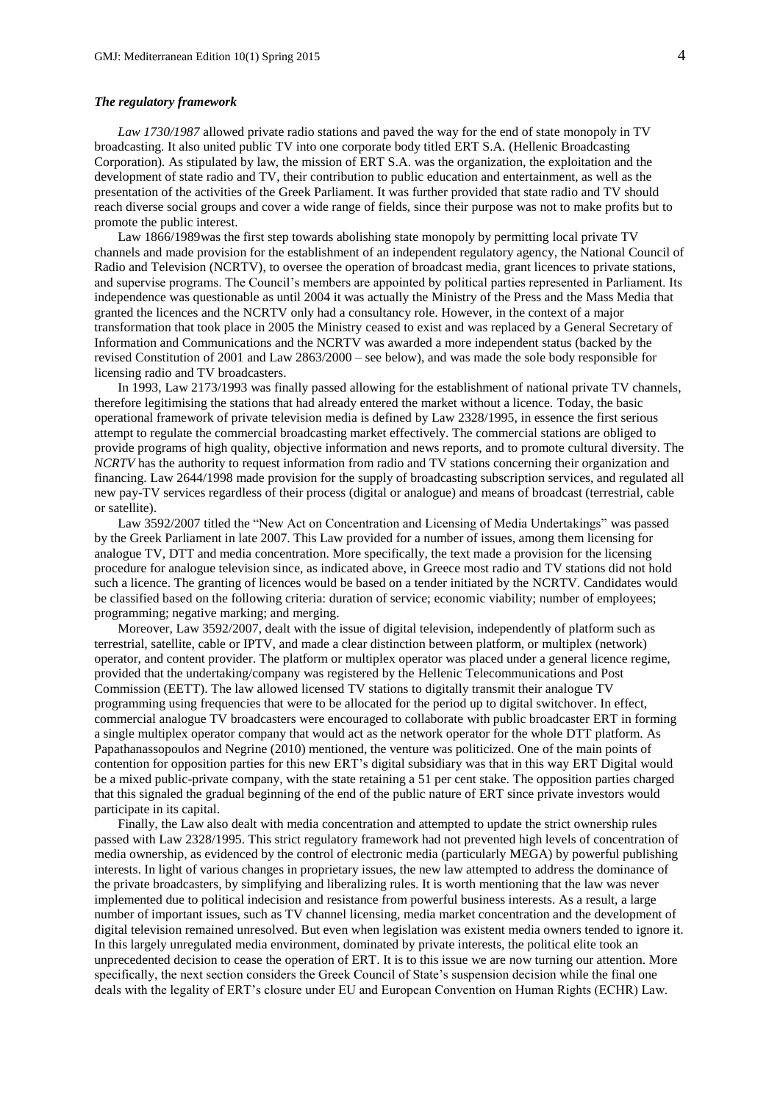#### *The regulatory framework*

*Law 1730/1987* allowed private radio stations and paved the way for the end of state monopoly in TV broadcasting. It also united public TV into one corporate body titled ERT S.A*.* (Hellenic Broadcasting Corporation)*.* As stipulated by law, the mission of ERT S.A. was the organization, the exploitation and the development of state radio and TV, their contribution to public education and entertainment, as well as the presentation of the activities of the Greek Parliament. It was further provided that state radio and TV should reach diverse social groups and cover a wide range of fields, since their purpose was not to make profits but to promote the public interest.

Law 1866/1989was the first step towards abolishing state monopoly by permitting local private TV channels and made provision for the establishment of an independent regulatory agency, the National Council of Radio and Television (NCRTV), to oversee the operation of broadcast media, grant licences to private stations, and supervise programs. The Council's members are appointed by political parties represented in Parliament. Its independence was questionable as until 2004 it was actually the Ministry of the Press and the Mass Media that granted the licences and the NCRTV only had a consultancy role. However, in the context of a major transformation that took place in 2005 the Ministry ceased to exist and was replaced by a General Secretary of Information and Communications and the NCRTV was awarded a more independent status (backed by the revised Constitution of 2001 and Law 2863/2000 – see below), and was made the sole body responsible for licensing radio and TV broadcasters.

In 1993, Law 2173/1993 was finally passed allowing for the establishment of national private TV channels, therefore legitimising the stations that had already entered the market without a licence. Today, the basic operational framework of private television media is defined by Law 2328/1995, in essence the first serious attempt to regulate the commercial broadcasting market effectively. The commercial stations are obliged to provide programs of high quality, objective information and news reports, and to promote cultural diversity. The *NCRTV* has the authority to request information from radio and TV stations concerning their organization and financing. Law 2644/1998 made provision for the supply of broadcasting subscription services, and regulated all new pay-TV services regardless of their process (digital or analogue) and means of broadcast (terrestrial, cable or satellite).

Law 3592/2007 titled the "New Act on Concentration and Licensing of Media Undertakings" was passed by the Greek Parliament in late 2007. This Law provided for a number of issues, among them licensing for analogue TV, DTT and media concentration. More specifically, the text made a provision for the licensing procedure for analogue television since, as indicated above, in Greece most radio and TV stations did not hold such a licence. The granting of licences would be based on a tender initiated by the NCRTV. Candidates would be classified based on the following criteria: duration of service; economic viability; number of employees; programming; negative marking; and merging.

Moreover, Law 3592/2007, dealt with the issue of digital television, independently of platform such as terrestrial, satellite, cable or IPTV, and made a clear distinction between platform, or multiplex (network) operator, and content provider. The platform or multiplex operator was placed under a general licence regime, provided that the undertaking/company was registered by the Hellenic Telecommunications and Post Commission (EETT). The law allowed licensed TV stations to digitally transmit their analogue TV programming using frequencies that were to be allocated for the period up to digital switchover. In effect, commercial analogue TV broadcasters were encouraged to collaborate with public broadcaster ERT in forming a single multiplex operator company that would act as the network operator for the whole DTT platform. As Papathanassopoulos and Negrine (2010) mentioned, the venture was politicized. One of the main points of contention for opposition parties for this new ERT's digital subsidiary was that in this way ERT Digital would be a mixed public-private company, with the state retaining a 51 per cent stake. The opposition parties charged that this signaled the gradual beginning of the end of the public nature of ERT since private investors would participate in its capital.

Finally, the Law also dealt with media concentration and attempted to update the strict ownership rules passed with Law 2328/1995. This strict regulatory framework had not prevented high levels of concentration of media ownership, as evidenced by the control of electronic media (particularly MEGA) by powerful publishing interests. In light of various changes in proprietary issues, the new law attempted to address the dominance of the private broadcasters, by simplifying and liberalizing rules. It is worth mentioning that the law was never implemented due to political indecision and resistance from powerful business interests. As a result, a large number of important issues, such as TV channel licensing, media market concentration and the development of digital television remained unresolved. But even when legislation was existent media owners tended to ignore it. In this largely unregulated media environment, dominated by private interests, the political elite took an unprecedented decision to cease the operation of ERT. It is to this issue we are now turning our attention. More specifically, the next section considers the Greek Council of State's suspension decision while the final one deals with the legality of ERT's closure under EU and European Convention on Human Rights (ECHR) Law.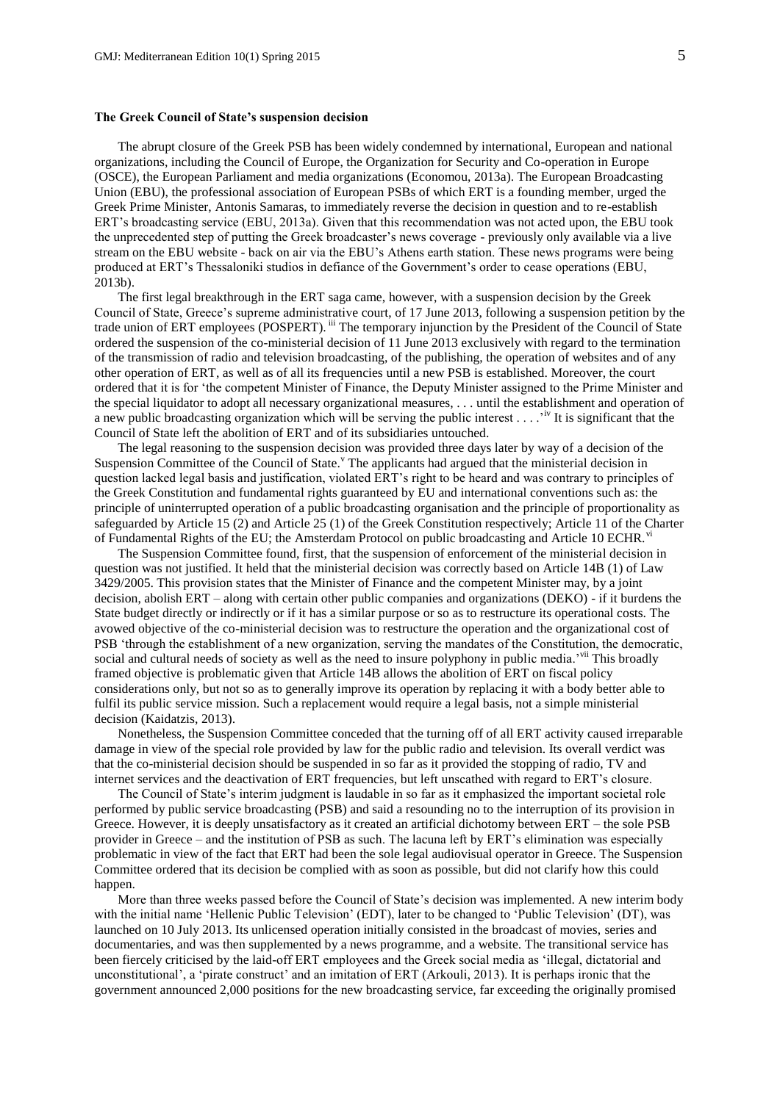## **The Greek Council of State's suspension decision**

The abrupt closure of the Greek PSB has been widely condemned by international, European and national organizations, including the Council of Europe, the Organization for Security and Co-operation in Europe (OSCE), the European Parliament and media organizations (Economou, 2013a). The European Broadcasting Union (EBU), the professional association of European PSBs of which ERT is a founding member, urged the Greek Prime Minister, Antonis Samaras, to immediately reverse the decision in question and to re-establish ERT's broadcasting service (EBU, 2013a). Given that this recommendation was not acted upon, the EBU took the unprecedented step of putting the Greek broadcaster's news coverage - previously only available via a live stream on the EBU website - back on air via the EBU's Athens earth station. These news programs were being produced at ERT's Thessaloniki studios in defiance of the Government's order to cease operations (EBU, 2013b).

The first legal breakthrough in the ERT saga came, however, with a suspension decision by the Greek Council of State, Greece's supreme administrative court, of 17 June 2013, following a suspension petition by the trade union of ERT employees (POSPERT). iii The temporary injunction by the President of the Council of State ordered the suspension of the co-ministerial decision of 11 June 2013 exclusively with regard to the termination of the transmission of radio and television broadcasting, of the publishing, the operation of websites and of any other operation of ERT, as well as of all its frequencies until a new PSB is established. Moreover, the court ordered that it is for 'the competent Minister of Finance, the Deputy Minister assigned to the Prime Minister and the special liquidator to adopt all necessary organizational measures, . . . until the establishment and operation of a new public broadcasting organization which will be serving the public interest  $\dots$ <sup>iv</sup> It is significant that the Council of State left the abolition of ERT and of its subsidiaries untouched.

The legal reasoning to the suspension decision was provided three days later by way of a decision of the Suspension Committee of the Council of State.<sup>Y</sup> The applicants had argued that the ministerial decision in question lacked legal basis and justification, violated ERT's right to be heard and was contrary to principles of the Greek Constitution and fundamental rights guaranteed by EU and international conventions such as: the principle of uninterrupted operation of a public broadcasting organisation and the principle of proportionality as safeguarded by Article 15 (2) and Article 25 (1) of the Greek Constitution respectively; Article 11 of the Charter of Fundamental Rights of the EU; the Amsterdam Protocol on public broadcasting and Article 10 ECHR.<sup>vi</sup>

The Suspension Committee found, first, that the suspension of enforcement of the ministerial decision in question was not justified. It held that the ministerial decision was correctly based on Article 14B (1) of Law 3429/2005. This provision states that the Minister of Finance and the competent Minister may, by a joint decision, abolish ERT – along with certain other public companies and organizations (DEKO) - if it burdens the State budget directly or indirectly or if it has a similar purpose or so as to restructure its operational costs. The avowed objective of the co-ministerial decision was to restructure the operation and the organizational cost of PSB 'through the establishment of a new organization, serving the mandates of the Constitution, the democratic, social and cultural needs of society as well as the need to insure polyphony in public media.<sup>'vii</sup> This broadly framed objective is problematic given that Article 14B allows the abolition of ERT on fiscal policy considerations only, but not so as to generally improve its operation by replacing it with a body better able to fulfil its public service mission. Such a replacement would require a legal basis, not a simple ministerial decision (Kaidatzis, 2013).

Nonetheless, the Suspension Committee conceded that the turning off of all ERT activity caused irreparable damage in view of the special role provided by law for the public radio and television. Its overall verdict was that the co-ministerial decision should be suspended in so far as it provided the stopping of radio, TV and internet services and the deactivation of ERT frequencies, but left unscathed with regard to ERT's closure.

The Council of State's interim judgment is laudable in so far as it emphasized the important societal role performed by public service broadcasting (PSB) and said a resounding no to the interruption of its provision in Greece. However, it is deeply unsatisfactory as it created an artificial dichotomy between ERT – the sole PSB provider in Greece – and the institution of PSB as such. The lacuna left by ERT's elimination was especially problematic in view of the fact that ERT had been the sole legal audiovisual operator in Greece. The Suspension Committee ordered that its decision be complied with as soon as possible, but did not clarify how this could happen.

More than three weeks passed before the Council of State's decision was implemented. A new interim body with the initial name 'Hellenic Public Television' (EDT), later to be changed to 'Public Television' (DT), was launched on 10 July 2013. Its unlicensed operation initially consisted in the broadcast of movies, series and documentaries, and was then supplemented by a news programme, and a website. The transitional service has been fiercely criticised by the laid-off ERT employees and the Greek social media as 'illegal, dictatorial and unconstitutional', a 'pirate construct' and an imitation of ERT (Arkouli, 2013). It is perhaps ironic that the government announced 2,000 positions for the new broadcasting service, far exceeding the originally promised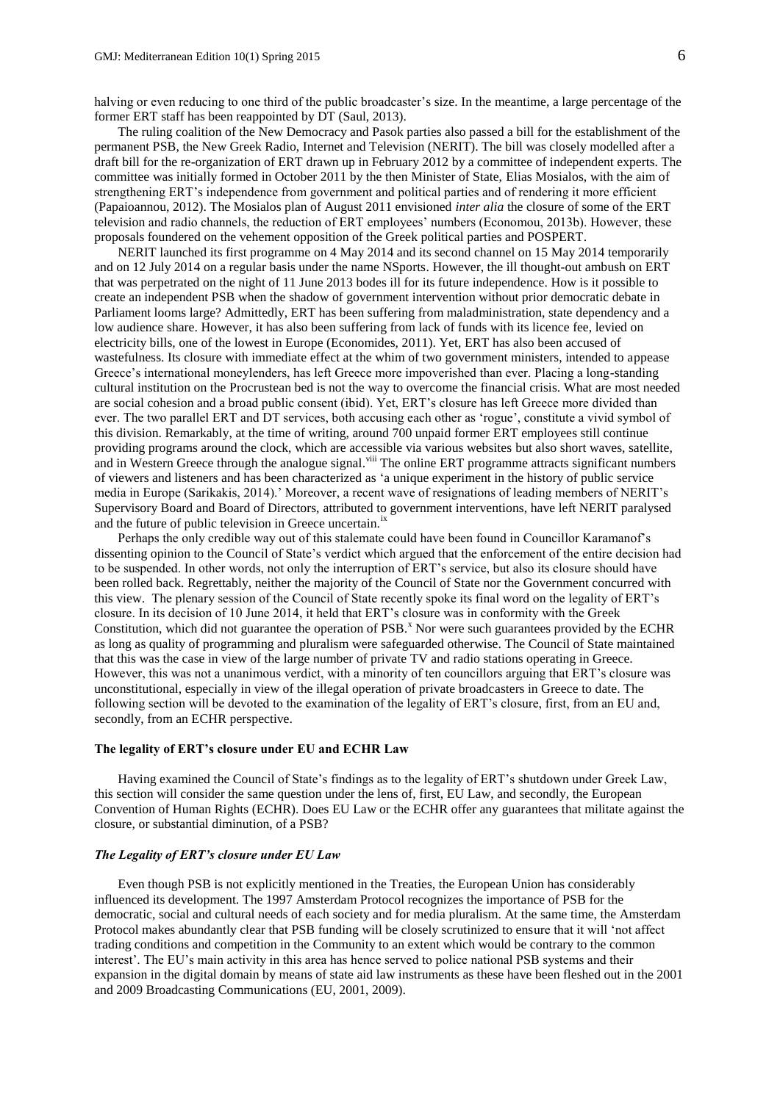halving or even reducing to one third of the public broadcaster's size. In the meantime, a large percentage of the former ERT staff has been reappointed by DT (Saul, 2013).

The ruling coalition of the New Democracy and Pasok parties also passed a bill for the establishment of the permanent PSB, the New Greek Radio, Internet and Television (NERIT). The bill was closely modelled after a draft bill for the re-organization of ERT drawn up in February 2012 by a committee of independent experts. The committee was initially formed in October 2011 by the then Minister of State, Elias Mosialos, with the aim of strengthening ERT's independence from government and political parties and of rendering it more efficient (Papaioannou, 2012). The Mosialos plan of August 2011 envisioned *inter alia* the closure of some of the ERT television and radio channels, the reduction of ERT employees' numbers (Economou, 2013b). However, these proposals foundered on the vehement opposition of the Greek political parties and POSPERT.

NERIT launched its first programme on 4 May 2014 and its second channel on 15 May 2014 temporarily and on 12 July 2014 on a regular basis under the name NSports. However, the ill thought-out ambush on ERT that was perpetrated on the night of 11 June 2013 bodes ill for its future independence. How is it possible to create an independent PSB when the shadow of government intervention without prior democratic debate in Parliament looms large? Admittedly, ERT has been suffering from maladministration, state dependency and a low audience share. However, it has also been suffering from lack of funds with its licence fee, levied on electricity bills, one of the lowest in Europe (Economides, 2011). Yet, ERT has also been accused of wastefulness. Its closure with immediate effect at the whim of two government ministers, intended to appease Greece's international moneylenders, has left Greece more impoverished than ever. Placing a long-standing cultural institution on the Procrustean bed is not the way to overcome the financial crisis. What are most needed are social cohesion and a broad public consent (ibid). Yet, ERT's closure has left Greece more divided than ever. The two parallel ERT and DT services, both accusing each other as 'rogue', constitute a vivid symbol of this division. Remarkably, at the time of writing, around 700 unpaid former ERT employees still continue providing programs around the clock, which are accessible via various websites but also short waves, satellite, and in Western Greece through the analogue signal.<sup>viii</sup> The online ERT programme attracts significant numbers of viewers and listeners and has been characterized as 'a unique experiment in the history of public service media in Europe (Sarikakis, 2014).' Moreover, a recent wave of resignations of leading members of NERIT's Supervisory Board and Board of Directors, attributed to government interventions, have left NERIT paralysed and the future of public television in Greece uncertain.<sup>i</sup>

Perhaps the only credible way out of this stalemate could have been found in Councillor Karamanof's dissenting opinion to the Council of State's verdict which argued that the enforcement of the entire decision had to be suspended. In other words, not only the interruption of ERT's service, but also its closure should have been rolled back. Regrettably, neither the majority of the Council of State nor the Government concurred with this view. The plenary session of the Council of State recently spoke its final word on the legality of ERT's closure. In its decision of 10 June 2014, it held that ERT's closure was in conformity with the Greek Constitution, which did not guarantee the operation of  $PSB<sup>x</sup>$ . Nor were such guarantees provided by the ECHR as long as quality of programming and pluralism were safeguarded otherwise. The Council of State maintained that this was the case in view of the large number of private TV and radio stations operating in Greece. However, this was not a unanimous verdict, with a minority of ten councillors arguing that ERT's closure was unconstitutional, especially in view of the illegal operation of private broadcasters in Greece to date. The following section will be devoted to the examination of the legality of ERT's closure, first, from an EU and, secondly, from an ECHR perspective.

#### **The legality of ERT's closure under EU and ECHR Law**

Having examined the Council of State's findings as to the legality of ERT's shutdown under Greek Law, this section will consider the same question under the lens of, first, EU Law, and secondly, the European Convention of Human Rights (ECHR). Does EU Law or the ECHR offer any guarantees that militate against the closure, or substantial diminution, of a PSB?

## *The Legality of ERT's closure under EU Law*

Even though PSB is not explicitly mentioned in the Treaties, the European Union has considerably influenced its development. The 1997 Amsterdam Protocol recognizes the importance of PSB for the democratic, social and cultural needs of each society and for media pluralism. At the same time, the Amsterdam Protocol makes abundantly clear that PSB funding will be closely scrutinized to ensure that it will 'not affect trading conditions and competition in the Community to an extent which would be contrary to the common interest'. The EU's main activity in this area has hence served to police national PSB systems and their expansion in the digital domain by means of state aid law instruments as these have been fleshed out in the 2001 and 2009 Broadcasting Communications (EU, 2001, 2009).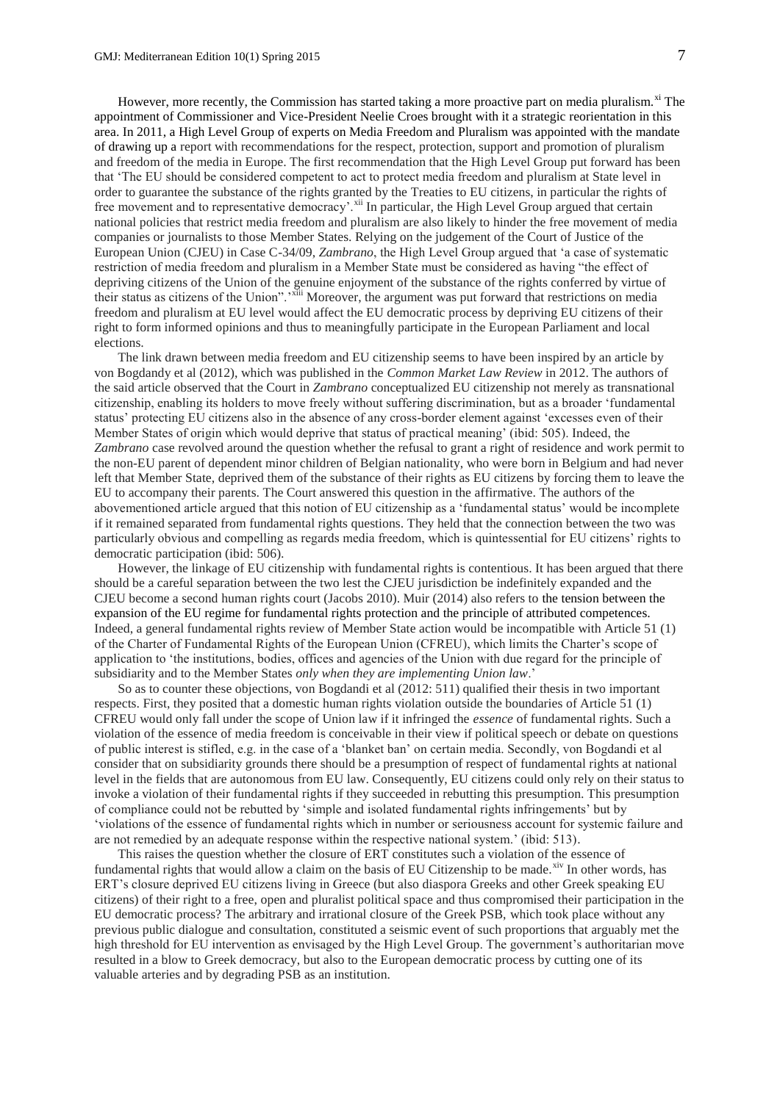However, more recently, the Commission has started taking a more proactive part on media pluralism.<sup>xi</sup> The appointment of Commissioner and Vice-President Neelie Croes brought with it a strategic reorientation in this area. In 2011, a High Level Group of experts on Media Freedom and Pluralism was appointed with the mandate of drawing up a report with recommendations for the respect, protection, support and promotion of pluralism and freedom of the media in Europe. The first recommendation that the High Level Group put forward has been that 'The EU should be considered competent to act to protect media freedom and pluralism at State level in order to guarantee the substance of the rights granted by the Treaties to EU citizens, in particular the rights of free movement and to representative democracy'.<sup>xii</sup> In particular, the High Level Group argued that certain national policies that restrict media freedom and pluralism are also likely to hinder the free movement of media companies or journalists to those Member States. Relying on the judgement of the Court of Justice of the European Union (CJEU) in Case C-34/09, *Zambrano*, the High Level Group argued that 'a case of systematic restriction of media freedom and pluralism in a Member State must be considered as having "the effect of depriving citizens of the Union of the genuine enjoyment of the substance of the rights conferred by virtue of their status as citizens of the Union".'xiii Moreover, the argument was put forward that restrictions on media freedom and pluralism at EU level would affect the EU democratic process by depriving EU citizens of their right to form informed opinions and thus to meaningfully participate in the European Parliament and local elections.

The link drawn between media freedom and EU citizenship seems to have been inspired by an article by von Bogdandy et al (2012), which was published in the *Common Market Law Review* in 2012. The authors of the said article observed that the Court in *Zambrano* conceptualized EU citizenship not merely as transnational citizenship, enabling its holders to move freely without suffering discrimination, but as a broader 'fundamental status' protecting EU citizens also in the absence of any cross-border element against 'excesses even of their Member States of origin which would deprive that status of practical meaning' (ibid: 505). Indeed, the *Zambrano* case revolved around the question whether the refusal to grant a right of residence and work permit to the non-EU parent of dependent minor children of Belgian nationality, who were born in Belgium and had never left that Member State, deprived them of the substance of their rights as EU citizens by forcing them to leave the EU to accompany their parents. The Court answered this question in the affirmative. The authors of the abovementioned article argued that this notion of EU citizenship as a 'fundamental status' would be incomplete if it remained separated from fundamental rights questions. They held that the connection between the two was particularly obvious and compelling as regards media freedom, which is quintessential for EU citizens' rights to democratic participation (ibid: 506).

However, the linkage of EU citizenship with fundamental rights is contentious. It has been argued that there should be a careful separation between the two lest the CJEU jurisdiction be indefinitely expanded and the CJEU become a second human rights court (Jacobs 2010). Muir (2014) also refers to the tension between the expansion of the EU regime for fundamental rights protection and the principle of attributed competences. Indeed, a general fundamental rights review of Member State action would be incompatible with Article 51 (1) of the Charter of Fundamental Rights of the European Union (CFREU), which limits the Charter's scope of application to 'the institutions, bodies, offices and agencies of the Union with due regard for the principle of subsidiarity and to the Member States *only when they are implementing Union law*.'

So as to counter these objections, von Bogdandi et al (2012: 511) qualified their thesis in two important respects. First, they posited that a domestic human rights violation outside the boundaries of Article 51 (1) CFREU would only fall under the scope of Union law if it infringed the *essence* of fundamental rights. Such a violation of the essence of media freedom is conceivable in their view if political speech or debate on questions of public interest is stifled, e.g. in the case of a 'blanket ban' on certain media. Secondly, von Bogdandi et al consider that on subsidiarity grounds there should be a presumption of respect of fundamental rights at national level in the fields that are autonomous from EU law. Consequently, EU citizens could only rely on their status to invoke a violation of their fundamental rights if they succeeded in rebutting this presumption. This presumption of compliance could not be rebutted by 'simple and isolated fundamental rights infringements' but by 'violations of the essence of fundamental rights which in number or seriousness account for systemic failure and are not remedied by an adequate response within the respective national system.' (ibid: 513).

This raises the question whether the closure of ERT constitutes such a violation of the essence of fundamental rights that would allow a claim on the basis of EU Citizenship to be made.<sup>xiv</sup> In other words, has ERT's closure deprived EU citizens living in Greece (but also diaspora Greeks and other Greek speaking EU citizens) of their right to a free, open and pluralist political space and thus compromised their participation in the EU democratic process? The arbitrary and irrational closure of the Greek PSB, which took place without any previous public dialogue and consultation, constituted a seismic event of such proportions that arguably met the high threshold for EU intervention as envisaged by the High Level Group. The government's authoritarian move resulted in a blow to Greek democracy, but also to the European democratic process by cutting one of its valuable arteries and by degrading PSB as an institution.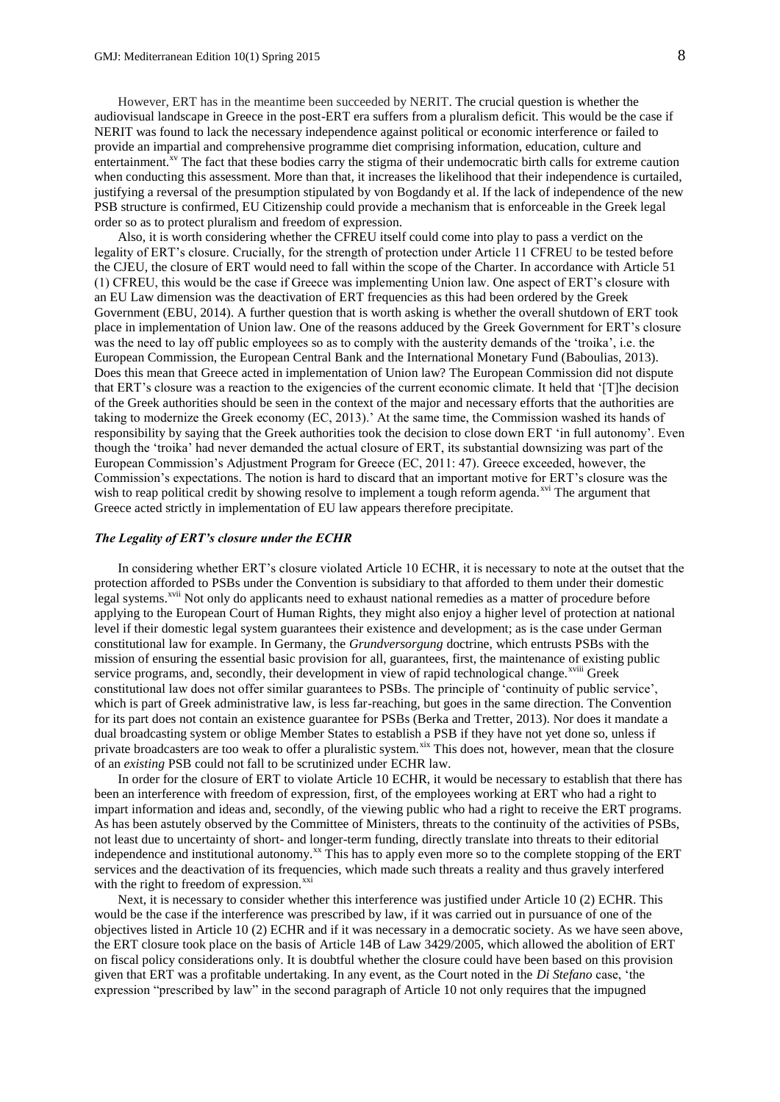However, ERT has in the meantime been succeeded by NERIT. The crucial question is whether the audiovisual landscape in Greece in the post-ERT era suffers from a pluralism deficit. This would be the case if NERIT was found to lack the necessary independence against political or economic interference or failed to provide an impartial and comprehensive programme diet comprising information, education, culture and entertainment.<sup>xv</sup> The fact that these bodies carry the stigma of their undemocratic birth calls for extreme caution when conducting this assessment. More than that, it increases the likelihood that their independence is curtailed, justifying a reversal of the presumption stipulated by von Bogdandy et al. If the lack of independence of the new PSB structure is confirmed, EU Citizenship could provide a mechanism that is enforceable in the Greek legal order so as to protect pluralism and freedom of expression.

Also, it is worth considering whether the CFREU itself could come into play to pass a verdict on the legality of ERT's closure. Crucially, for the strength of protection under Article 11 CFREU to be tested before the CJEU, the closure of ERT would need to fall within the scope of the Charter. In accordance with Article 51 (1) CFREU, this would be the case if Greece was implementing Union law. One aspect of ERT's closure with an EU Law dimension was the deactivation of ERT frequencies as this had been ordered by the Greek Government (EBU, 2014). A further question that is worth asking is whether the overall shutdown of ERT took place in implementation of Union law. One of the reasons adduced by the Greek Government for ERT's closure was the need to lay off public employees so as to comply with the austerity demands of the 'troika', i.e. the European Commission, the European Central Bank and the International Monetary Fund (Baboulias, 2013). Does this mean that Greece acted in implementation of Union law? The European Commission did not dispute that ERT's closure was a reaction to the exigencies of the current economic climate. It held that '[T]he decision of the Greek authorities should be seen in the context of the major and necessary efforts that the authorities are taking to modernize the Greek economy (EC, 2013).' At the same time, the Commission washed its hands of responsibility by saying that the Greek authorities took the decision to close down ERT 'in full autonomy'. Even though the 'troika' had never demanded the actual closure of ERT, its substantial downsizing was part of the European Commission's Adjustment Program for Greece (EC, 2011: 47). Greece exceeded, however, the Commission's expectations. The notion is hard to discard that an important motive for ERT's closure was the wish to reap political credit by showing resolve to implement a tough reform agenda.<sup>xvi</sup> The argument that Greece acted strictly in implementation of EU law appears therefore precipitate.

#### *The Legality of ERT's closure under the ECHR*

In considering whether ERT's closure violated Article 10 ECHR, it is necessary to note at the outset that the protection afforded to PSBs under the Convention is subsidiary to that afforded to them under their domestic legal systems.<sup>xvii</sup> Not only do applicants need to exhaust national remedies as a matter of procedure before applying to the European Court of Human Rights, they might also enjoy a higher level of protection at national level if their domestic legal system guarantees their existence and development; as is the case under German constitutional law for example. In Germany, the *Grundversorgung* doctrine, which entrusts PSBs with the mission of ensuring the essential basic provision for all, guarantees, first, the maintenance of existing public service programs, and, secondly, their development in view of rapid technological change.<sup>xviii</sup> Greek constitutional law does not offer similar guarantees to PSBs. The principle of 'continuity of public service', which is part of Greek administrative law, is less far-reaching, but goes in the same direction. The Convention for its part does not contain an existence guarantee for PSBs (Berka and Tretter, 2013). Nor does it mandate a dual broadcasting system or oblige Member States to establish a PSB if they have not yet done so, unless if private broadcasters are too weak to offer a pluralistic system.<sup>xix</sup> This does not, however, mean that the closure of an *existing* PSB could not fall to be scrutinized under ECHR law.

In order for the closure of ERT to violate Article 10 ECHR, it would be necessary to establish that there has been an interference with freedom of expression, first, of the employees working at ERT who had a right to impart information and ideas and, secondly, of the viewing public who had a right to receive the ERT programs. As has been astutely observed by the Committee of Ministers, threats to the continuity of the activities of PSBs, not least due to uncertainty of short- and longer-term funding, directly translate into threats to their editorial independence and institutional autonomy.<sup>xx</sup> This has to apply even more so to the complete stopping of the ERT services and the deactivation of its frequencies, which made such threats a reality and thus gravely interfered with the right to freedom of expression. $^{xx1}$ 

Next, it is necessary to consider whether this interference was justified under Article 10 (2) ECHR. This would be the case if the interference was prescribed by law, if it was carried out in pursuance of one of the objectives listed in Article 10 (2) ECHR and if it was necessary in a democratic society. As we have seen above, the ERT closure took place on the basis of Article 14B of Law 3429/2005, which allowed the abolition of ERT on fiscal policy considerations only. It is doubtful whether the closure could have been based on this provision given that ERT was a profitable undertaking. In any event, as the Court noted in the *Di Stefano* case, 'the expression "prescribed by law" in the second paragraph of Article 10 not only requires that the impugned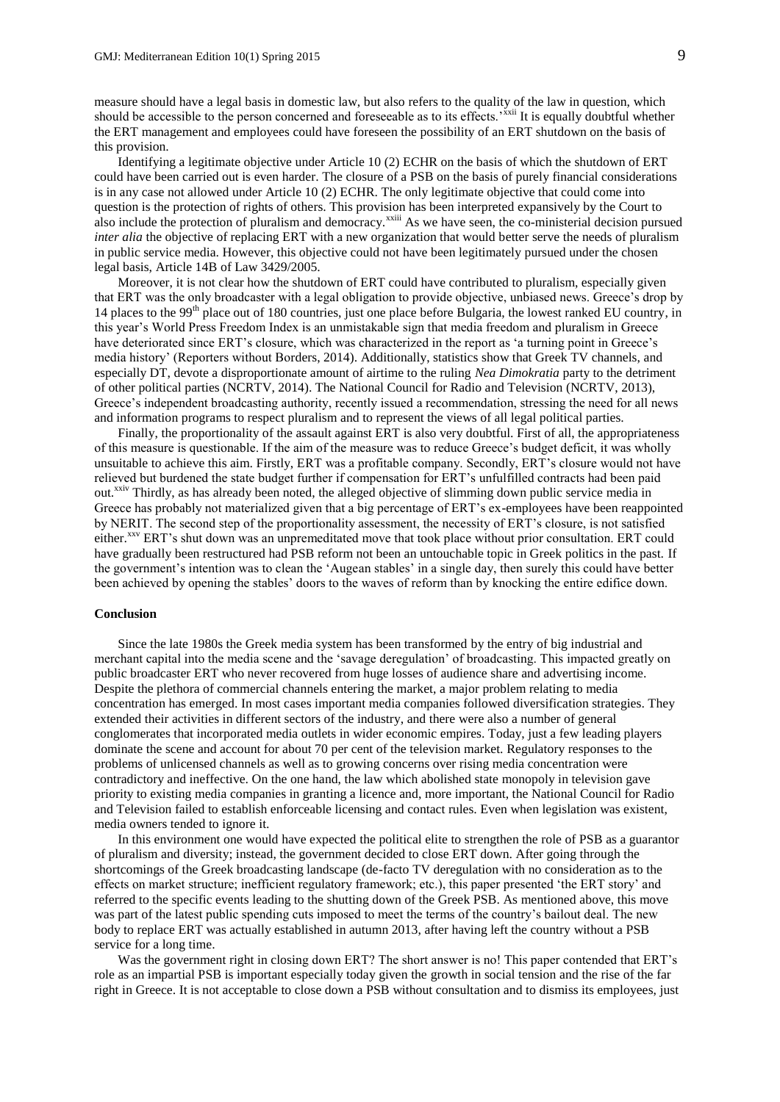measure should have a legal basis in domestic law, but also refers to the quality of the law in question, which should be accessible to the person concerned and foreseeable as to its effects.'<sup>xxii</sup> It is equally doubtful whether the ERT management and employees could have foreseen the possibility of an ERT shutdown on the basis of this provision.

Identifying a legitimate objective under Article 10 (2) ECHR on the basis of which the shutdown of ERT could have been carried out is even harder. The closure of a PSB on the basis of purely financial considerations is in any case not allowed under Article 10 (2) ECHR. The only legitimate objective that could come into question is the protection of rights of others. This provision has been interpreted expansively by the Court to also include the protection of pluralism and democracy.<sup>xxiii</sup> As we have seen, the co-ministerial decision pursued *inter alia* the objective of replacing ERT with a new organization that would better serve the needs of pluralism in public service media. However, this objective could not have been legitimately pursued under the chosen legal basis, Article 14B of Law 3429/2005.

Moreover, it is not clear how the shutdown of ERT could have contributed to pluralism, especially given that ERT was the only broadcaster with a legal obligation to provide objective, unbiased news. Greece's drop by 14 places to the 99<sup>th</sup> place out of 180 countries, just one place before Bulgaria, the lowest ranked EU country, in this year's World Press Freedom Index is an unmistakable sign that media freedom and pluralism in Greece have deteriorated since ERT's closure, which was characterized in the report as 'a turning point in Greece's media history' (Reporters without Borders, 2014). Additionally, statistics show that Greek TV channels, and especially DT, devote a disproportionate amount of airtime to the ruling *Nea Dimokratia* party to the detriment of other political parties (NCRTV, 2014). The National Council for Radio and Television (NCRTV, 2013), Greece's independent broadcasting authority, recently issued a recommendation, stressing the need for all news and information programs to respect pluralism and to represent the views of all legal political parties.

Finally, the proportionality of the assault against ERT is also very doubtful. First of all, the appropriateness of this measure is questionable. If the aim of the measure was to reduce Greece's budget deficit, it was wholly unsuitable to achieve this aim. Firstly, ERT was a profitable company. Secondly, ERT's closure would not have relieved but burdened the state budget further if compensation for ERT's unfulfilled contracts had been paid out.<sup>xxiv</sup> Thirdly, as has already been noted, the alleged objective of slimming down public service media in Greece has probably not materialized given that a big percentage of ERT's ex-employees have been reappointed by NERIT. The second step of the proportionality assessment, the necessity of ERT's closure, is not satisfied either.<sup>xxv</sup> ERT's shut down was an unpremeditated move that took place without prior consultation. ERT could have gradually been restructured had PSB reform not been an untouchable topic in Greek politics in the past. If the government's intention was to clean the 'Augean stables' in a single day, then surely this could have better been achieved by opening the stables' doors to the waves of reform than by knocking the entire edifice down.

#### **Conclusion**

Since the late 1980s the Greek media system has been transformed by the entry of big industrial and merchant capital into the media scene and the 'savage deregulation' of broadcasting. This impacted greatly on public broadcaster ERT who never recovered from huge losses of audience share and advertising income. Despite the plethora of commercial channels entering the market, a major problem relating to media concentration has emerged. In most cases important media companies followed diversification strategies. They extended their activities in different sectors of the industry, and there were also a number of general conglomerates that incorporated media outlets in wider economic empires. Today, just a few leading players dominate the scene and account for about 70 per cent of the television market. Regulatory responses to the problems of unlicensed channels as well as to growing concerns over rising media concentration were contradictory and ineffective. On the one hand, the law which abolished state monopoly in television gave priority to existing media companies in granting a licence and, more important, the National Council for Radio and Television failed to establish enforceable licensing and contact rules. Even when legislation was existent, media owners tended to ignore it.

In this environment one would have expected the political elite to strengthen the role of PSB as a guarantor of pluralism and diversity; instead, the government decided to close ERT down. After going through the shortcomings of the Greek broadcasting landscape (de-facto TV deregulation with no consideration as to the effects on market structure; inefficient regulatory framework; etc.), this paper presented 'the ERT story' and referred to the specific events leading to the shutting down of the Greek PSB. As mentioned above, this move was part of the latest public spending cuts imposed to meet the terms of the country's bailout deal. The new body to replace ERT was actually established in autumn 2013, after having left the country without a PSB service for a long time.

Was the government right in closing down ERT? The short answer is no! This paper contended that ERT's role as an impartial PSB is important especially today given the growth in social tension and the rise of the far right in Greece. It is not acceptable to close down a PSB without consultation and to dismiss its employees, just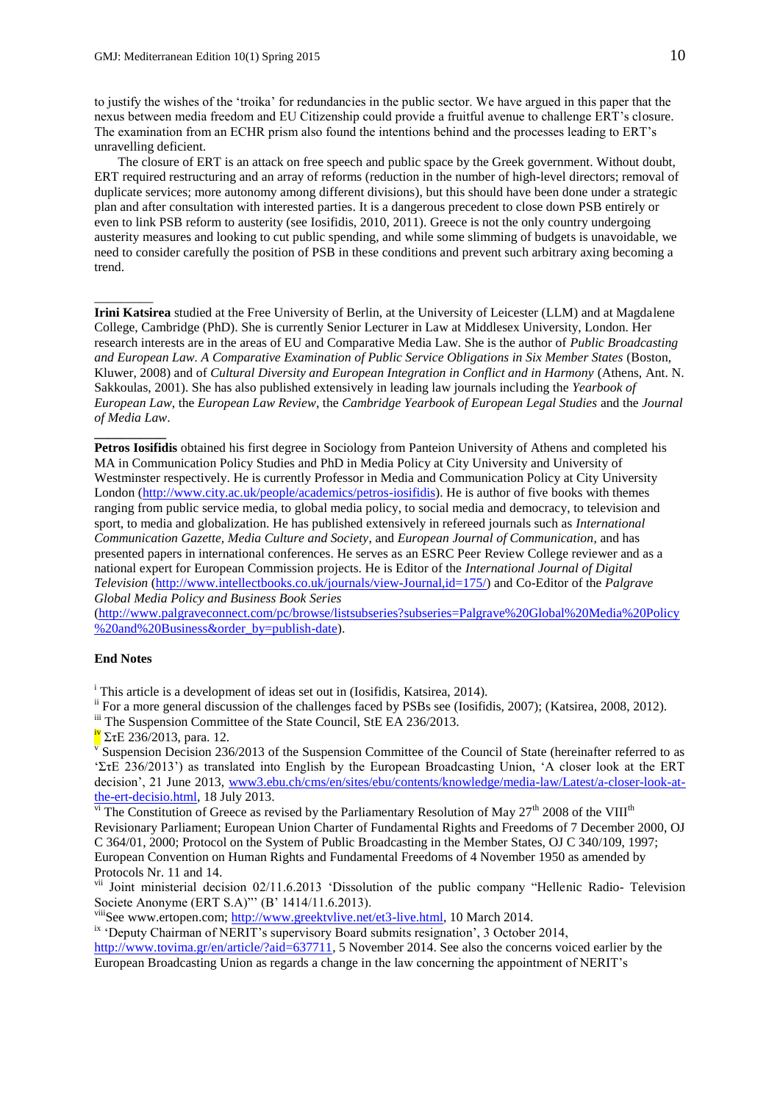to justify the wishes of the 'troika' for redundancies in the public sector. We have argued in this paper that the nexus between media freedom and EU Citizenship could provide a fruitful avenue to challenge ERT's closure. The examination from an ECHR prism also found the intentions behind and the processes leading to ERT's unravelling deficient.

The closure of ERT is an attack on free speech and public space by the Greek government. Without doubt, ERT required restructuring and an array of reforms (reduction in the number of high-level directors; removal of duplicate services; more autonomy among different divisions), but this should have been done under a strategic plan and after consultation with interested parties. It is a dangerous precedent to close down PSB entirely or even to link PSB reform to austerity (see Iosifidis, 2010, 2011). Greece is not the only country undergoing austerity measures and looking to cut public spending, and while some slimming of budgets is unavoidable, we need to consider carefully the position of PSB in these conditions and prevent such arbitrary axing becoming a trend.

**Irini Katsirea** studied at the Free University of Berlin, at the University of Leicester (LLM) and at Magdalene College, Cambridge (PhD). She is currently Senior Lecturer in Law at Middlesex University, London. Her research interests are in the areas of EU and Comparative Media Law. She is the author of *Public Broadcasting and European Law. A Comparative Examination of Public Service Obligations in Six Member States* (Boston, Kluwer, 2008) and of *Cultural Diversity and European Integration in Conflict and in Harmony* (Athens, Ant. N. Sakkoulas, 2001). She has also published extensively in leading law journals including the *Yearbook of European Law*, the *European Law Review*, the *Cambridge Yearbook of European Legal Studies* and the *Journal of Media Law*.

**Petros Iosifidis** obtained his first degree in Sociology from Panteion University of Athens and completed his MA in Communication Policy Studies and PhD in Media Policy at City University and University of Westminster respectively. He is currently Professor in Media and Communication Policy at City University London [\(http://www.city.ac.uk/people/academics/petros-iosifidis\)](http://www.city.ac.uk/people/academics/petros-iosifidis). He is author of five books with themes ranging from public service media, to global media policy, to social media and democracy, to television and sport, to media and globalization. He has published extensively in refereed journals such as *International Communication Gazette, Media Culture and Society*, and *European Journal of Communication*, and has presented papers in international conferences. He serves as an ESRC Peer Review College reviewer and as a national expert for European Commission projects. He is Editor of the *International Journal of Digital Television* [\(http://www.intellectbooks.co.uk/journals/view-Journal,id=175/\)](http://www.intellectbooks.co.uk/journals/view-Journal,id=175/) and Co-Editor of the *Palgrave Global Media Policy and Business Book Series*

[\(http://www.palgraveconnect.com/pc/browse/listsubseries?subseries=Palgrave%20Global%20Media%20Policy](http://www.palgraveconnect.com/pc/browse/listsubseries?subseries=Palgrave%20Global%20Media%20Policy%20and%20Business&order_by=publish-date) [%20and%20Business&order\\_by=publish-date\)](http://www.palgraveconnect.com/pc/browse/listsubseries?subseries=Palgrave%20Global%20Media%20Policy%20and%20Business&order_by=publish-date).

# **End Notes**

\_\_\_\_\_\_\_\_\_

**\_\_\_\_\_\_\_\_\_\_\_**

<sup>i</sup> This article is a development of ideas set out in (Iosifidis, Katsirea, 2014).

ii For a more general discussion of the challenges faced by PSBs see (Iosifidis, 2007); (Katsirea, 2008, 2012).

iii The Suspension Committee of the State Council, StE EA 236/2013.

 $\frac{iv}{\sqrt{2\pi}}$  ΣτΕ 236/2013, para. 12.

 $\overline{v}$  Suspension Decision 236/2013 of the Suspension Committee of the Council of State (hereinafter referred to as 'ΣτΕ 236/2013') as translated into English by the European Broadcasting Union, 'A closer look at the ERT decision', 21 June 2013, [www3.ebu.ch/cms/en/sites/ebu/contents/knowledge/media-law/Latest/a-closer-look-at](http://www3.ebu.ch/cms/en/sites/ebu/contents/knowledge/media-law/Latest/a-closer-look-at-the-ert-decisio.html)[the-ert-decisio.html,](http://www3.ebu.ch/cms/en/sites/ebu/contents/knowledge/media-law/Latest/a-closer-look-at-the-ert-decisio.html) 18 July 2013.

 $\overline{v}$ <sup>i</sup> The Constitution of Greece as revised by the Parliamentary Resolution of May 27<sup>th</sup> 2008 of the VIII<sup>th</sup> Revisionary Parliament; European Union Charter of Fundamental Rights and Freedoms of 7 December 2000, OJ C 364/01, 2000; Protocol on the System of Public Broadcasting in the Member States, OJ C 340/109, 1997; European Convention on Human Rights and Fundamental Freedoms of 4 November 1950 as amended by Protocols Nr. 11 and 14.

<sup>vii</sup> Joint ministerial decision 02/11.6.2013 'Dissolution of the public company "Hellenic Radio- Television Societe Anonyme (ERT S.A)"' (B' 1414/11.6.2013).

<sup>viii</sup>See www.ertopen.com[; http://www.greektvlive.net/et3-live.html,](http://www.greektvlive.net/et3-live.html) 10 March 2014.

<sup>ix</sup> 'Deputy Chairman of NERIT's supervisory Board submits resignation', 3 October 2014,

[http://www.tovima.gr/en/article/?aid=637711,](http://www.tovima.gr/en/article/?aid=637711) 5 November 2014. See also the concerns voiced earlier by the European Broadcasting Union as regards a change in the law concerning the appointment of NERIT's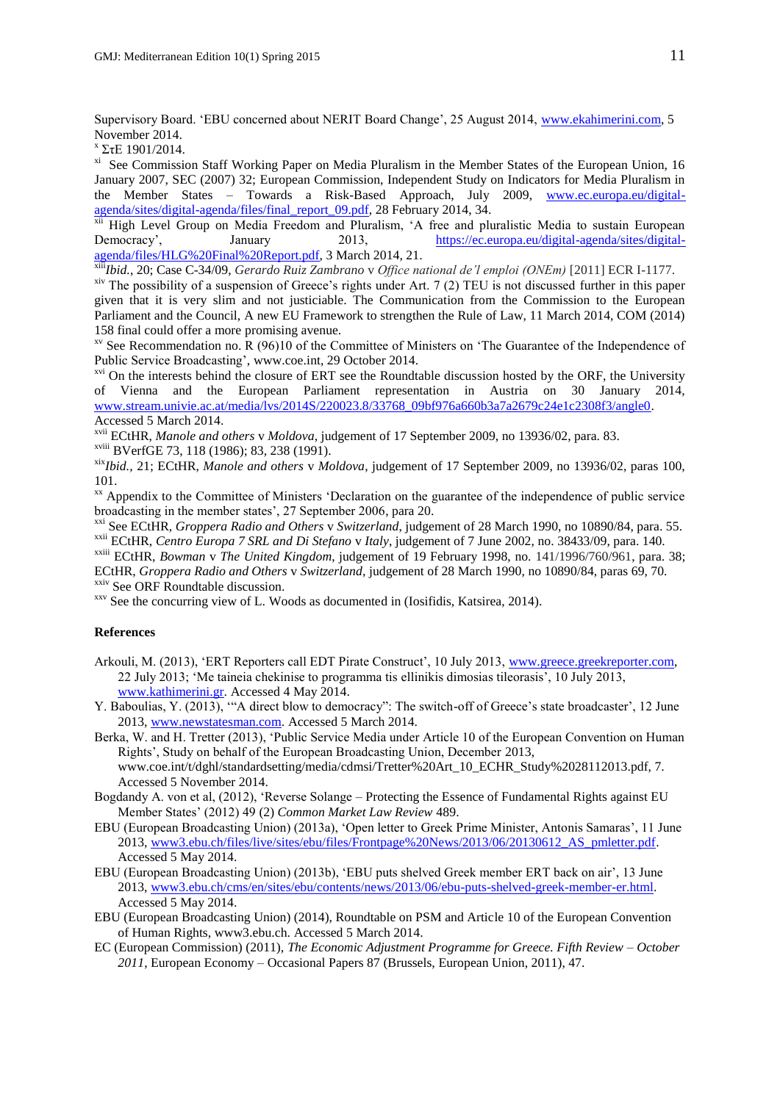Supervisory Board. 'EBU concerned about NERIT Board Change', 25 August 2014, [www.ekahimerini.com,](http://www.ekahimerini.com/) 5 November 2014.

x ΣτΕ 1901/2014.

xi See Commission Staff Working Paper on Media Pluralism in the Member States of the European Union, 16 January 2007, SEC (2007) 32; European Commission, Independent Study on Indicators for Media Pluralism in the Member States – Towards a Risk-Based Approach, July 2009, [www.ec.europa.eu/digital](http://www.ec.europa.eu/digital-agenda/sites/digital-agenda/files/final_report_09.pdf)[agenda/sites/digital-agenda/files/final\\_report\\_09.pdf,](http://www.ec.europa.eu/digital-agenda/sites/digital-agenda/files/final_report_09.pdf) 28 February 2014, 34.

<sup>xii</sup> High Level Group on Media Freedom and Pluralism, 'A free and pluralistic Media to sustain European<br>Democracy', January 2013, https://ec.europa.eu/digital-agenda/sites/digital2013, [https://ec.europa.eu/digital-agenda/sites/digital](https://ec.europa.eu/digital-agenda/sites/digital-agenda/files/HLG%20Final%20Report.pdf)[agenda/files/HLG%20Final%20Report.pdf,](https://ec.europa.eu/digital-agenda/sites/digital-agenda/files/HLG%20Final%20Report.pdf) 3 March 2014, 21.

xiii*Ibid.*, 20; Case C-34/09, *Gerardo Ruiz Zambrano* v *Office national de'l emploi (ONEm)* [2011] ECR I-1177.

<sup>xiv</sup> The possibility of a suspension of Greece's rights under Art. 7 (2) TEU is not discussed further in this paper given that it is very slim and not justiciable. The Communication from the Commission to the European Parliament and the Council, A new EU Framework to strengthen the Rule of Law, 11 March 2014, COM (2014) 158 final could offer a more promising avenue.

 $x<sup>v</sup>$  See Recommendation no. R (96)10 of the Committee of Ministers on 'The Guarantee of the Independence of Public Service Broadcasting', www.coe.int, 29 October 2014.

<sup>xvi</sup> On the interests behind the closure of ERT see the Roundtable discussion hosted by the ORF, the University of Vienna and the European Parliament representation in Austria on 30 January 2014, [www.stream.univie.ac.at/media/lvs/2014S/220023.8/33768\\_09bf976a660b3a7a2679c24e1c2308f3/angle0.](http://www.stream.univie.ac.at/media/lvs/2014S/220023.8/33768_09bf976a660b3a7a2679c24e1c2308f3/angle0) Accessed 5 March 2014.

xvii ECtHR, *Manole and others* v *Moldova*, judgement of 17 September 2009, no 13936/02, para. 83.

xviii BVerfGE 73, 118 (1986); 83, 238 (1991).

xix*Ibid.,* 21; ECtHR, *Manole and others* v *Moldova*, judgement of 17 September 2009, no 13936/02, paras 100, 101.

<sup>xx</sup> Appendix to the Committee of Ministers 'Declaration on the guarantee of the independence of public service broadcasting in the member states', 27 September 2006, para 20.

xxi See ECtHR, *Groppera Radio and Others* v *Switzerland*, judgement of 28 March 1990, no 10890/84, para. 55. xxii ECtHR, *Centro Europa 7 SRL and Di Stefano* v *Italy*, judgement of 7 June 2002, no. 38433/09, para. 140.

xxiii ECtHR, *Bowman* v *The United Kingdom*, judgement of 19 February 1998, no. 141/1996/760/961, para. 38; ECtHR, *Groppera Radio and Others* v *Switzerland*, judgement of 28 March 1990, no 10890/84, paras 69, 70.

<sup>xxiv</sup> See ORF Roundtable discussion.

xxv See the concurring view of L. Woods as documented in (Iosifidis, Katsirea, 2014).

# **References**

- Arkouli, M. (2013), 'ERT Reporters call EDT Pirate Construct', 10 July 2013, [www.greece.greekreporter.com,](http://www.greece.greekreporter.com/) 22 July 2013; 'Me taineia chekinise to programma tis ellinikis dimosias tileorasis', 10 July 2013, [www.kathimerini.gr.](http://www.kathimerini.gr/) Accessed 4 May 2014.
- Y. Baboulias, Y. (2013), "A direct blow to democracy": The switch-off of Greece's state broadcaster', 12 June 2013, [www.newstatesman.com.](http://www.newstatesman.com/) Accessed 5 March 2014.
- Berka, W. and H. Tretter (2013), 'Public Service Media under Article 10 of the European Convention on Human Rights', Study on behalf of the European Broadcasting Union, December 2013, www.coe.int/t/dghl/standardsetting/media/cdmsi/Tretter%20Art\_10\_ECHR\_Study%2028112013.pdf, 7. Accessed 5 November 2014.
- Bogdandy A. von et al, (2012), 'Reverse Solange Protecting the Essence of Fundamental Rights against EU Member States' (2012) 49 (2) *Common Market Law Review* 489.
- EBU (European Broadcasting Union) (2013a), 'Open letter to Greek Prime Minister, Antonis Samaras', 11 June 2013, [www3.ebu.ch/files/live/sites/ebu/files/Frontpage%20News/2013/06/20130612\\_AS\\_pmletter.pdf.](http://www3.ebu.ch/files/live/sites/ebu/files/Frontpage%20News/2013/06/20130612_AS_pmletter.pdf) Accessed 5 May 2014.
- EBU (European Broadcasting Union) (2013b), 'EBU puts shelved Greek member ERT back on air', 13 June 2013, [www3.ebu.ch/cms/en/sites/ebu/contents/news/2013/06/ebu-puts-shelved-greek-member-er.html.](http://www3.ebu.ch/cms/en/sites/ebu/contents/news/2013/06/ebu-puts-shelved-greek-member-er.html) Accessed 5 May 2014.
- EBU (European Broadcasting Union) (2014), Roundtable on PSM and Article 10 of the European Convention of Human Rights, www3.ebu.ch. Accessed 5 March 2014.
- EC (European Commission) (2011), *The Economic Adjustment Programme for Greece. Fifth Review – October 2011*, European Economy – Occasional Papers 87 (Brussels, European Union, 2011), 47.